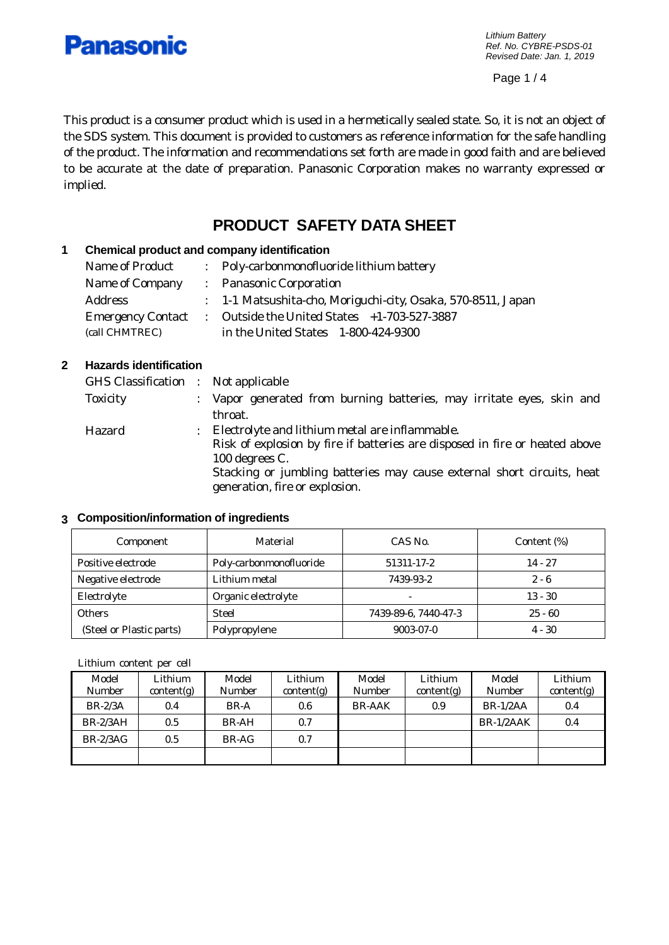

*Lithium Battery Ref. No. CYBRE-PSDS-01 Revised Date: Jan. 1, 2019*

Page 1 / 4

This product is a consumer product which is used in a hermetically sealed state. So, it is not an object of the SDS system. This document is provided to customers as reference information for the safe handling of the product. The information and recommendations set forth are made in good faith and are believed to be accurate at the date of preparation. Panasonic Corporation makes no warranty expressed or implied.

# **PRODUCT SAFETY DATA SHEET**

# **1 Chemical product and company identification**

| Name of Product | : Poly-carbonmonofluoride lithium battery                     |
|-----------------|---------------------------------------------------------------|
| Name of Company | : Panasonic Corporation                                       |
| Address         | : 1-1 Matsushita-cho, Moriguchi-city, Osaka, 570-8511, Japan  |
|                 | Emergency Contact : Outside the United States +1-703-527-3887 |
| (call CHMTREC)  | in the United States 1-800-424-9300                           |

#### **2 Hazards identification**

| GHS Classification : Not applicable |   |                                                                                                          |
|-------------------------------------|---|----------------------------------------------------------------------------------------------------------|
| <b>Toxicity</b>                     |   | : Vapor generated from burning batteries, may irritate eyes, skin and                                    |
|                                     |   | throat.                                                                                                  |
| Hazard                              | ÷ | Electrolyte and lithium metal are inflammable.                                                           |
|                                     |   | Risk of explosion by fire if batteries are disposed in fire or heated above                              |
|                                     |   | 100 degrees C.                                                                                           |
|                                     |   | Stacking or jumbling batteries may cause external short circuits, heat<br>generation, fire or explosion. |
|                                     |   |                                                                                                          |

#### **3 Composition/information of ingredients**

| Component                | Material                | CAS No.                  | Content (%) |
|--------------------------|-------------------------|--------------------------|-------------|
| Positive electrode       | Poly-carbonmonofluoride | 51311-17-2               | $14 - 27$   |
| Negative electrode       | Lithium metal           | 7439-93-2                | $2 - 6$     |
| Electrolyte              | Organic electrolyte     | $\overline{\phantom{a}}$ | $13 - 30$   |
| <b>Others</b>            | <b>Steel</b>            | 7439-89-6, 7440-47-3     | $25 - 60$   |
| (Steel or Plastic parts) | Polypropylene           | 9003-07-0                | $4 - 30$    |

Lithium content per cell

| Model      | Lithium    | Model         | Lithium    | Model         | Lithium          | Model       | Lithium    |
|------------|------------|---------------|------------|---------------|------------------|-------------|------------|
| Number     | content(g) | <b>Number</b> | content(g) | Number        | content(g)       | Number      | content(g) |
| $BR-2/3A$  | 0.4        | BR-A          | 0.6        | <b>BR-AAK</b> | 0.9 <sub>0</sub> | $BR-1/2AA$  | 0.4        |
| $BR-2/3AH$ | 0.5        | BR-AH         | 0.7        |               |                  | $BR-1/2AAK$ | 0.4        |
| $BR-2/3AG$ | 0.5        | BR-AG         | 0.7        |               |                  |             |            |
|            |            |               |            |               |                  |             |            |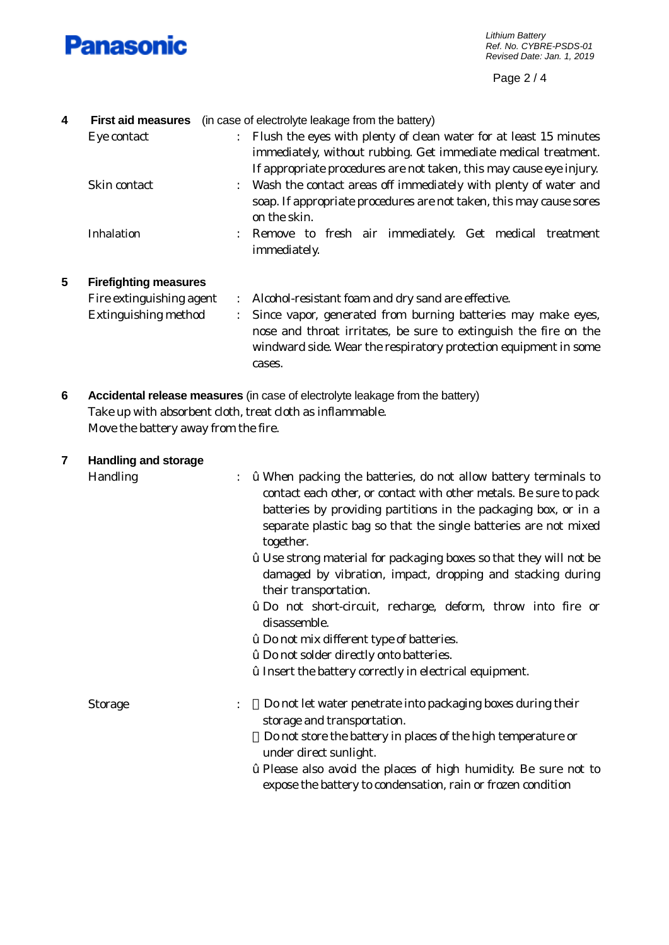

Page 2 / 4

| 4 | <b>First aid measures</b>            | (in case of electrolyte leakage from the battery)                                                                                                                                                                                |
|---|--------------------------------------|----------------------------------------------------------------------------------------------------------------------------------------------------------------------------------------------------------------------------------|
|   | Eye contact                          | Flush the eyes with plenty of clean water for at least 15 minutes<br>immediately, without rubbing. Get immediate medical treatment.<br>If appropriate procedures are not taken, this may cause eye injury.                       |
|   | Skin contact                         | Wash the contact areas off immediately with plenty of water and<br>soap. If appropriate procedures are not taken, this may cause sores<br>on the skin.                                                                           |
|   | <b>Inhalation</b>                    | Remove to fresh air immediately. Get medical treatment<br>÷<br>immediately.                                                                                                                                                      |
| 5 | <b>Firefighting measures</b>         |                                                                                                                                                                                                                                  |
|   | Fire extinguishing agent             | Alcohol-resistant foam and dry sand are effective.<br>$\ddot{\cdot}$                                                                                                                                                             |
|   | <b>Extinguishing method</b>          | Since vapor, generated from burning batteries may make eyes,<br>$\ddot{\cdot}$<br>nose and throat irritates, be sure to extinguish the fire on the<br>windward side. Wear the respiratory protection equipment in some<br>cases. |
| 6 |                                      | Accidental release measures (in case of electrolyte leakage from the battery)                                                                                                                                                    |
|   |                                      | Take up with absorbent cloth, treat cloth as inflammable.                                                                                                                                                                        |
|   | Move the battery away from the fire. |                                                                                                                                                                                                                                  |
|   | ويتمازم المتحدث وبالملائد وبمالية    |                                                                                                                                                                                                                                  |

# **7 Handling and storage**

- Handling :  $\dot{\mathbf{z}}$  When packing the batteries, do not allow battery terminals to contact each other, or contact with other metals. Be sure to pack batteries by providing partitions in the packaging box, or in a separate plastic bag so that the single batteries are not mixed together.
	- ž Use strong material for packaging boxes so that they will not be damaged by vibration, impact, dropping and stacking during their transportation.
	- ž Do not short-circuit, recharge, deform, throw into fire or disassemble.
	- ž Do not mix different type of batteries.
	- ž Do not solder directly onto batteries.
	- ž Insert the battery correctly in electrical equipment.

Storage : Do not let water penetrate into packaging boxes during their storage and transportation. Do not store the battery in places of the high temperature or under direct sunlight. ž Please also avoid the places of high humidity. Be sure not to

expose the battery to condensation, rain or frozen condition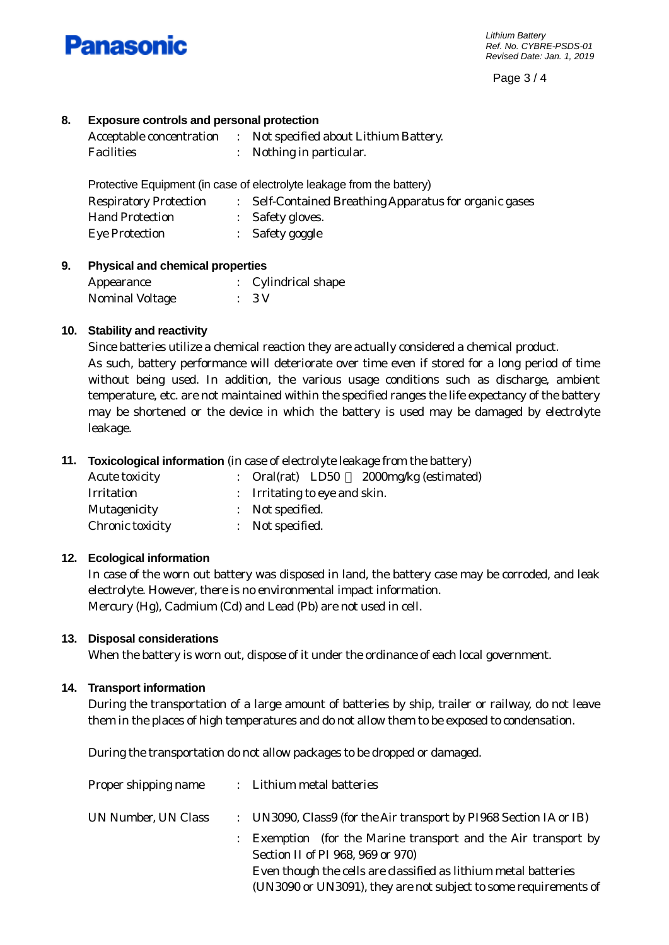

Page 3 / 4

# **8. Exposure controls and personal protection**

| Acceptable concentration | Not specified about Lithium Battery. |
|--------------------------|--------------------------------------|
| Facilities               | Nothing in particular.               |

Protective Equipment (in case of electrolyte leakage from the battery)

| <b>Respiratory Protection</b> | : Self-Contained Breathing Apparatus for organic gases |
|-------------------------------|--------------------------------------------------------|
| <b>Hand Protection</b>        | : Safety gloves.                                       |
| <b>Eye Protection</b>         | $:$ Safety goggle                                      |

#### **9. Physical and chemical properties**

| Appearance      | : Cylindrical shape |
|-----------------|---------------------|
| Nominal Voltage | $\therefore$ 3 V    |

# **10. Stability and reactivity**

Since batteries utilize a chemical reaction they are actually considered a chemical product. As such, battery performance will deteriorate over time even if stored for a long period of time without being used. In addition, the various usage conditions such as discharge, ambient temperature, etc. are not maintained within the specified ranges the life expectancy of the battery may be shortened or the device in which the battery is used may be damaged by electrolyte leakage.

# **11. Toxicological information** (in case of electrolyte leakage from the battery)

| <b>Acute toxicity</b> | 2000mg/kg (estimated)<br>: Oral(rat) LD50 |
|-----------------------|-------------------------------------------|
| Irritation            | : Irritating to eye and skin.             |
| Mutagenicity          | : Not specified.                          |
| Chronic toxicity      | : Not specified.                          |

#### **12. Ecological information**

In case of the worn out battery was disposed in land, the battery case may be corroded, and leak electrolyte. However, there is no environmental impact information. Mercury (Hg), Cadmium (Cd) and Lead (Pb) are not used in cell.

#### **13. Disposal considerations**

When the battery is worn out, dispose of it under the ordinance of each local government.

#### **14. Transport information**

During the transportation of a large amount of batteries by ship, trailer or railway, do not leave them in the places of high temperatures and do not allow them to be exposed to condensation.

During the transportation do not allow packages to be dropped or damaged.

| Proper shipping name |  | : Lithium metal batteries                                                                           |
|----------------------|--|-----------------------------------------------------------------------------------------------------|
| UN Number, UN Class  |  | : UN3090, Class9 (for the Air transport by PI968 Section IA or IB)                                  |
|                      |  | : Exemption (for the Marine transport and the Air transport by<br>Section II of PI 968, 969 or 970) |
|                      |  | Even though the cells are classified as lithium metal batteries                                     |
|                      |  | (UN3090 or UN3091), they are not subject to some requirements of                                    |